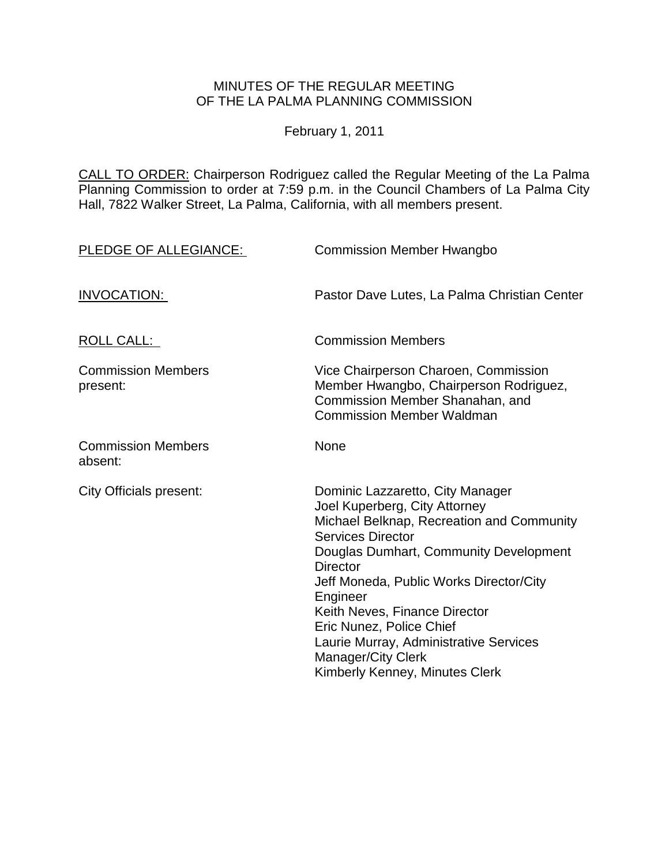# MINUTES OF THE REGULAR MEETING OF THE LA PALMA PLANNING COMMISSION

February 1, 2011

CALL TO ORDER: Chairperson Rodriguez called the Regular Meeting of the La Palma Planning Commission to order at 7:59 [p.m. in the Council Chambers of La Palma City](http://lapalma.granicus.com/MediaPlayerFrameHandler.php?view_id=&clip_id=548&meta_id=70154)  [Hall, 7822 Walker Street, La Palma, California, with all members present.](http://lapalma.granicus.com/MediaPlayerFrameHandler.php?view_id=&clip_id=548&meta_id=70154) 

| PLEDGE OF ALLEGIANCE:                 | <b>Commission Member Hwangbo</b>                                                                                                                                                                                                                                                                                                                                                                                              |
|---------------------------------------|-------------------------------------------------------------------------------------------------------------------------------------------------------------------------------------------------------------------------------------------------------------------------------------------------------------------------------------------------------------------------------------------------------------------------------|
| <b>INVOCATION:</b>                    | Pastor Dave Lutes, La Palma Christian Center                                                                                                                                                                                                                                                                                                                                                                                  |
| <b>ROLL CALL:</b>                     | <b>Commission Members</b>                                                                                                                                                                                                                                                                                                                                                                                                     |
| <b>Commission Members</b><br>present: | Vice Chairperson Charoen, Commission<br>Member Hwangbo, Chairperson Rodriguez,<br>Commission Member Shanahan, and<br><b>Commission Member Waldman</b>                                                                                                                                                                                                                                                                         |
| <b>Commission Members</b><br>absent:  | None                                                                                                                                                                                                                                                                                                                                                                                                                          |
| <b>City Officials present:</b>        | Dominic Lazzaretto, City Manager<br>Joel Kuperberg, City Attorney<br>Michael Belknap, Recreation and Community<br><b>Services Director</b><br>Douglas Dumhart, Community Development<br><b>Director</b><br>Jeff Moneda, Public Works Director/City<br>Engineer<br>Keith Neves, Finance Director<br>Eric Nunez, Police Chief<br>Laurie Murray, Administrative Services<br>Manager/City Clerk<br>Kimberly Kenney, Minutes Clerk |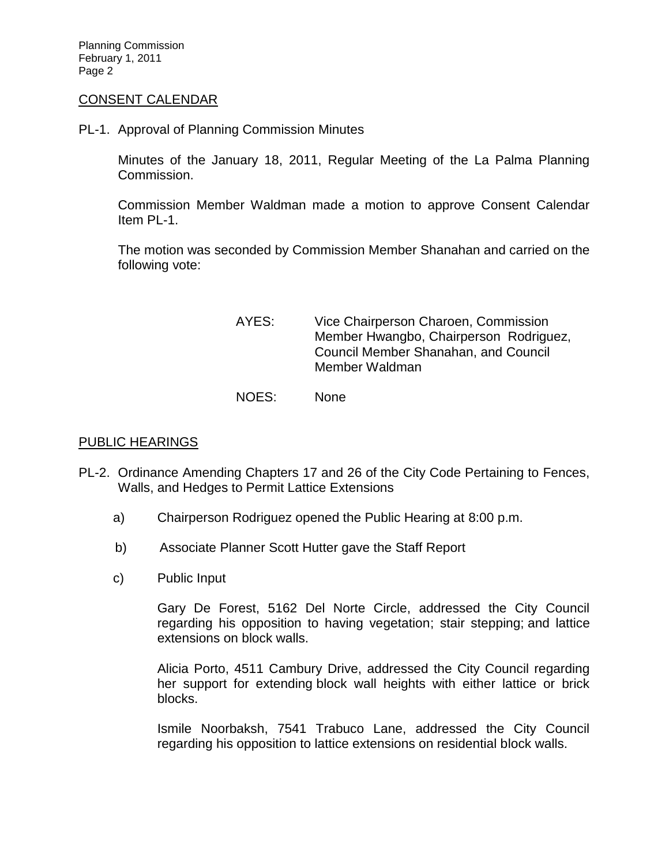Planning Commission February 1, 2011 Page 2

### CONSENT CALENDAR

PL-1. [Approval of Planning Commission Minutes](http://lapalma.granicus.com/MediaPlayerFrameHandler.php?view_id=&clip_id=548&meta_id=70225) 

Minutes of the January 18, 2011, Regular Meeting of the La Palma Planning Commission.

Commission Member Waldman made a motion to approve Consent Calendar Item PL-1.

The motion was seconded by Commission Member Shanahan and carried on the following vote:

> AYES: Vice Chairperson Charoen, Commission Member Hwangbo, Chairperson Rodriguez, Council Member Shanahan, and Council Member Waldman NOES: None

#### [PUBLIC HEARINGS](http://lapalma.granicus.com/MediaPlayerFrameHandler.php?view_id=&clip_id=548&meta_id=70227)

- PL-2. [Ordinance Amending Chapters 17 and 26 of the City Code Pertaining to Fences,](http://lapalma.granicus.com/MediaPlayerFrameHandler.php?view_id=&clip_id=548&meta_id=70228)  [Walls, and Hedges to Permit Lattice Extensions](http://lapalma.granicus.com/MediaPlayerFrameHandler.php?view_id=&clip_id=548&meta_id=70228) 
	- a) [Chairperson Rodriguez opened the Public Hearing at](http://lapalma.granicus.com/MediaPlayerFrameHandler.php?view_id=&clip_id=548&meta_id=70229) 8:00 p.m.
	- b) Associate Planner Scott Hutter gave the Staff Report
	- c) [Public](http://lapalma.granicus.com/MediaPlayerFrameHandler.php?view_id=&clip_id=548&meta_id=70231) Input

Gary De Forest, 5162 Del Norte Circle, addressed the City Council regarding his opposition to having vegetation; stair stepping; and lattice extensions on block walls.

Alicia Porto, 4511 Cambury Drive, addressed the City Council regarding her support for extending block wall heights with either lattice or brick blocks.

Ismile Noorbaksh, 7541 Trabuco Lane, addressed the City Council regarding his opposition to lattice extensions on residential block walls.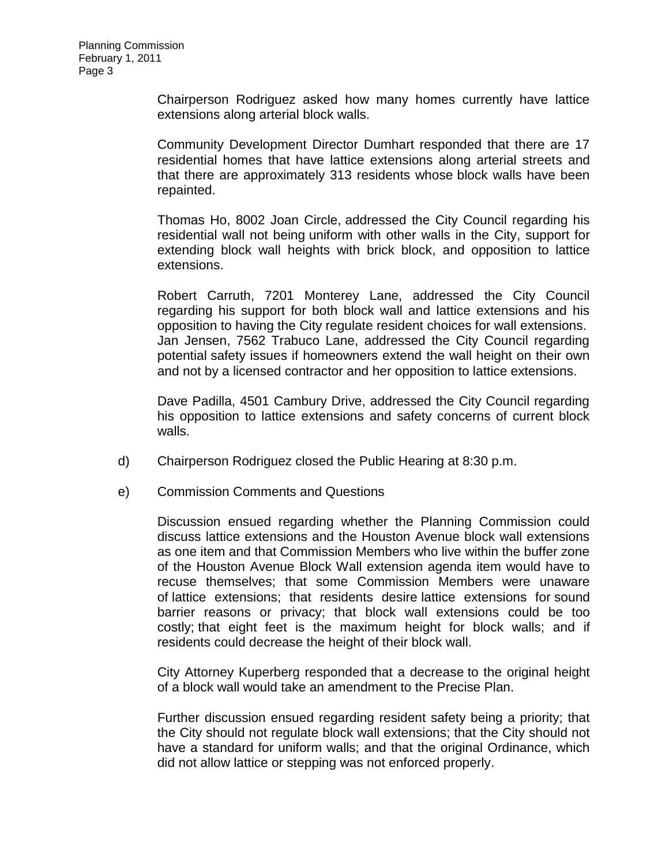Chairperson Rodriguez asked how many homes currently have lattice extensions along arterial block walls.

Community Development Director Dumhart responded that there are 17 residential homes that have lattice extensions along arterial streets and that there are approximately 313 residents whose block walls have been repainted.

Thomas Ho, 8002 Joan Circle, addressed the City Council regarding his residential wall not being uniform with other walls in the City, support for extending block wall heights with brick block, and opposition to lattice extensions.

Robert Carruth, 7201 Monterey Lane, addressed the City Council regarding his support for both block wall and lattice extensions and his opposition to having the City regulate resident choices for wall extensions. Jan Jensen, 7562 Trabuco Lane, addressed the City Council regarding potential safety issues if homeowners extend the wall height on their own and not by a licensed contractor and her opposition to lattice extensions.

Dave Padilla, 4501 Cambury Drive, addressed the City Council regarding his opposition to lattice extensions and safety concerns of current block walls.

- d) [Chairperson Rodriguez closed the](http://lapalma.granicus.com/MediaPlayerFrameHandler.php?view_id=&clip_id=548&meta_id=70232) Public Hearing at 8:30 p.m.
- e) [Commission Comments and Questions](http://lapalma.granicus.com/MediaPlayerFrameHandler.php?view_id=&clip_id=548&meta_id=70233)

Discussion ensued regarding whether the Planning Commission could discuss lattice extensions and the Houston Avenue block wall extensions as one item and that Commission Members who live within the buffer zone of the Houston Avenue Block Wall extension agenda item would have to recuse themselves; that some Commission Members were unaware of lattice extensions; that residents desire lattice extensions for sound barrier reasons or privacy; that block wall extensions could be too costly; that eight feet is the maximum height for block walls; and if residents could decrease the height of their block wall.

City Attorney Kuperberg responded that a decrease to the original height of a block wall would take an amendment to the Precise Plan.

Further discussion ensued regarding resident safety being a priority; that the City should not regulate block wall extensions; that the City should not have a standard for uniform walls; and that the original Ordinance, which did not allow lattice or stepping was not enforced properly.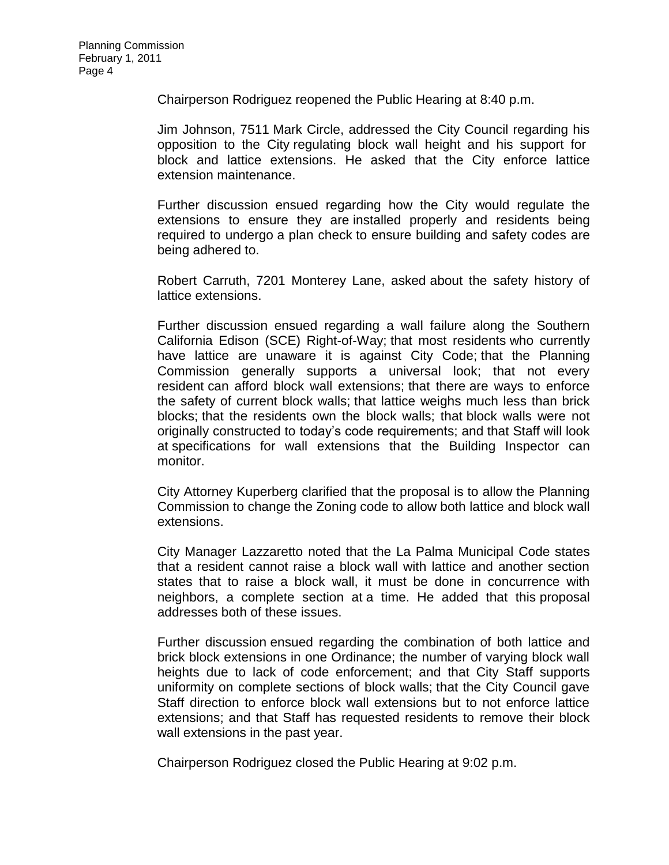Chairperson Rodriguez reopened the Public Hearing at 8:40 p.m.

Jim Johnson, 7511 Mark Circle, addressed the City Council regarding his opposition to the City regulating block wall height and his support for block and lattice extensions. He asked that the City enforce lattice extension maintenance.

Further discussion ensued regarding how the City would regulate the extensions to ensure they are installed properly and residents being required to undergo a plan check to ensure building and safety codes are being adhered to.

Robert Carruth, 7201 Monterey Lane, asked about the safety history of lattice extensions.

Further discussion ensued regarding a wall failure along the Southern California Edison (SCE) Right-of-Way; that most residents who currently have lattice are unaware it is against City Code; that the Planning Commission generally supports a universal look; that not every resident can afford block wall extensions; that there are ways to enforce the safety of current block walls; that lattice weighs much less than brick blocks; that the residents own the block walls; that block walls were not originally constructed to today's code requirements; and that Staff will look at specifications for wall extensions that the Building Inspector can monitor.

City Attorney Kuperberg clarified that the proposal is to allow the Planning Commission to change the Zoning code to allow both lattice and block wall extensions.

City Manager Lazzaretto noted that the La Palma Municipal Code states that a resident cannot raise a block wall with lattice and another section states that to raise a block wall, it must be done in concurrence with neighbors, a complete section at a time. He added that this proposal addresses both of these issues.

Further discussion ensued regarding the combination of both lattice and brick block extensions in one Ordinance; the number of varying block wall heights due to lack of code enforcement; and that City Staff supports uniformity on complete sections of block walls; that the City Council gave Staff direction to enforce block wall extensions but to not enforce lattice extensions; and that Staff has requested residents to remove their block wall extensions in the past year.

Chairperson Rodriguez closed the Public Hearing at 9:02 p.m.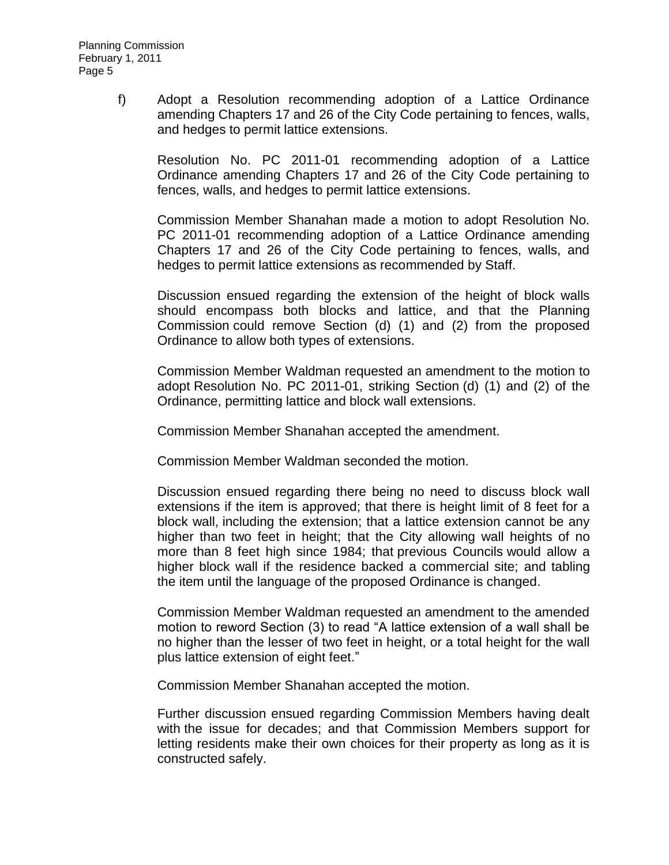f) [Adopt a Resolution recommending adoption of a Lattice Ordinance](http://lapalma.granicus.com/MediaPlayerFrameHandler.php?view_id=&clip_id=548&meta_id=70234)  [amending Chapters 17 and 26 of the City Code pertaining to fences, walls,](http://lapalma.granicus.com/MediaPlayerFrameHandler.php?view_id=&clip_id=548&meta_id=70234)  [and hedges to permit lattice extensions.](http://lapalma.granicus.com/MediaPlayerFrameHandler.php?view_id=&clip_id=548&meta_id=70234)

Resolution No. PC 2011-01 recommending adoption of a Lattice Ordinance amending Chapters 17 and 26 of the City Code pertaining to fences, walls, and hedges to permit lattice extensions.

Commission Member Shanahan made a motion to adopt Resolution No. PC 2011-01 recommending adoption of a Lattice Ordinance amending Chapters 17 and 26 of the City Code pertaining to fences, walls, and hedges to permit lattice extensions as recommended by Staff.

Discussion ensued regarding the extension of the height of block walls should encompass both blocks and lattice, and that the Planning Commission could remove Section (d) (1) and (2) from the proposed Ordinance to allow both types of extensions.

Commission Member Waldman requested an amendment to the motion to adopt Resolution No. PC 2011-01, striking Section (d) (1) and (2) of the Ordinance, permitting lattice and block wall extensions.

Commission Member Shanahan accepted the amendment.

Commission Member Waldman seconded the motion.

Discussion ensued regarding there being no need to discuss block wall extensions if the item is approved; that there is height limit of 8 feet for a block wall, including the extension; that a lattice extension cannot be any higher than two feet in height; that the City allowing wall heights of no more than 8 feet high since 1984; that previous Councils would allow a higher block wall if the residence backed a commercial site; and tabling the item until the language of the proposed Ordinance is changed.

Commission Member Waldman requested an amendment to the amended motion to reword Section (3) to read "A lattice extension of a wall shall be no higher than the lesser of two feet in height, or a total height for the wall plus lattice extension of eight feet."

Commission Member Shanahan accepted the motion.

Further discussion ensued regarding Commission Members having dealt with the issue for decades; and that Commission Members support for letting residents make their own choices for their property as long as it is constructed safely.